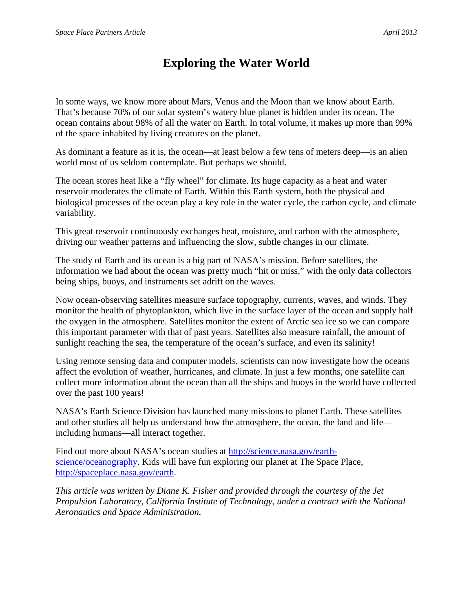## **Exploring the Water World**

In some ways, we know more about Mars, Venus and the Moon than we know about Earth. That's because 70% of our solar system's watery blue planet is hidden under its ocean. The ocean contains about 98% of all the water on Earth. In total volume, it makes up more than 99% of the space inhabited by living creatures on the planet.

As dominant a feature as it is, the ocean—at least below a few tens of meters deep—is an alien world most of us seldom contemplate. But perhaps we should.

The ocean stores heat like a "fly wheel" for climate. Its huge capacity as a heat and water reservoir moderates the climate of Earth. Within this Earth system, both the physical and biological processes of the ocean play a key role in the water cycle, the carbon cycle, and climate variability.

This great reservoir continuously exchanges heat, moisture, and carbon with the atmosphere, driving our weather patterns and influencing the slow, subtle changes in our climate.

The study of Earth and its ocean is a big part of NASA's mission. Before satellites, the information we had about the ocean was pretty much "hit or miss," with the only data collectors being ships, buoys, and instruments set adrift on the waves.

Now ocean-observing satellites measure surface topography, currents, waves, and winds. They monitor the health of phytoplankton, which live in the surface layer of the ocean and supply half the oxygen in the atmosphere. Satellites monitor the extent of Arctic sea ice so we can compare this important parameter with that of past years. Satellites also measure rainfall, the amount of sunlight reaching the sea, the temperature of the ocean's surface, and even its salinity!

Using remote sensing data and computer models, scientists can now investigate how the oceans affect the evolution of weather, hurricanes, and climate. In just a few months, one satellite can collect more information about the ocean than all the ships and buoys in the world have collected over the past 100 years!

NASA's Earth Science Division has launched many missions to planet Earth. These satellites and other studies all help us understand how the atmosphere, the ocean, the land and life including humans—all interact together.

Find out more about NASA's ocean studies at http://science.nasa.gov/earthscience/oceanography. Kids will have fun exploring our planet at The Space Place, http://spaceplace.nasa.gov/earth.

*This article was written by Diane K. Fisher and provided through the courtesy of the Jet Propulsion Laboratory, California Institute of Technology, under a contract with the National Aeronautics and Space Administration.*